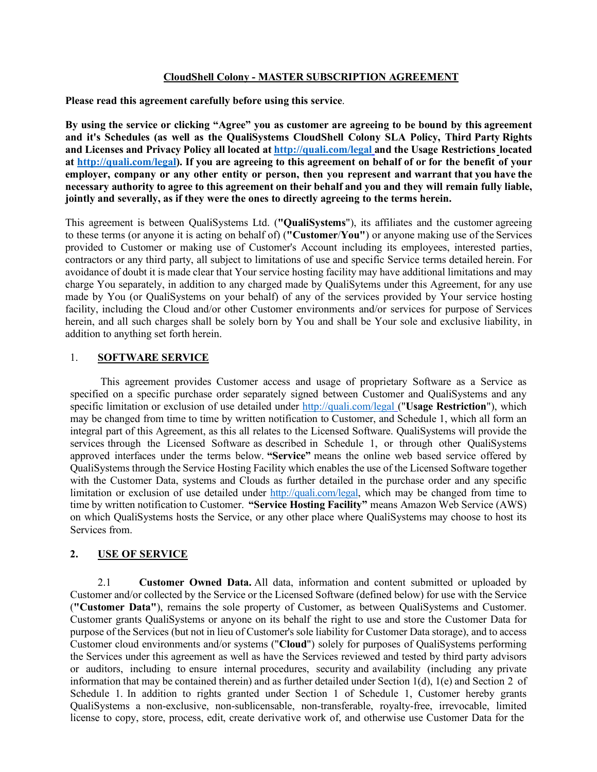#### **CloudShell Colony - MASTER SUBSCRIPTION AGREEMENT**

**Please read this agreement carefully before using this service**.

**By using the service or clicking "Agree" you as customer are agreeing to be bound by this agreement and it's Schedules (as well as the QualiSystems CloudShell Colony SLA Policy, Third Party Rights and Licenses and Privacy Policy all located at http://quali.com/legal and the Usage Restrictions located at http://quali.com/legal). If you are agreeing to this agreement on behalf of or for the benefit of your employer, company or any other entity or person, then you represent and warrant that you have the** necessary authority to agree to this agreement on their behalf and you and they will remain fully liable, **jointly and severally, as if they were the ones to directly agreeing to the terms herein.**

This agreement is between QualiSystems Ltd. (**"QualiSystems**"), its affiliates and the customer agreeing to these terms (or anyone it is acting on behalf of) (**"Customer**/**You"**) or anyone making use of the Services provided to Customer or making use of Customer's Account including its employees, interested parties, contractors or any third party, all subject to limitations of use and specific Service terms detailed herein. For avoidance of doubt it is made clear that Your service hosting facility may have additional limitations and may charge You separately, in addition to any charged made by QualiSytems under this Agreement, for any use made by You (or QualiSystems on your behalf) of any of the services provided by Your service hosting facility, including the Cloud and/or other Customer environments and/or services for purpose of Services herein, and all such charges shall be solely born by You and shall be Your sole and exclusive liability, in addition to anything set forth herein.

## 1. **SOFTWARE SERVICE**

This agreement provides Customer access and usage of proprietary Software as a Service as specified on a specific purchase order separately signed between Customer and QualiSystems and any specific limitation or exclusion of use detailed under http://quali.com/legal ("**Usage Restriction**"), which may be changed from time to time by written notification to Customer, and Schedule 1, which all form an integral part of this Agreement, as this all relates to the Licensed Software. QualiSystems will provide the services through the Licensed Software as described in Schedule 1, or through other QualiSystems approved interfaces under the terms below. **"Service"** means the online web based service offered by QualiSystems through the Service Hosting Facility which enables the use of the Licensed Software together with the Customer Data, systems and Clouds as further detailed in the purchase order and any specific limitation or exclusion of use detailed under http://quali.com/legal, which may be changed from time to time by written notification to Customer. **"Service Hosting Facility"** means Amazon Web Service (AWS) on which QualiSystems hosts the Service, or any other place where QualiSystems may choose to host its Services from.

## **2. USE OF SERVICE**

2.1 **Customer Owned Data.** All data, information and content submitted or uploaded by Customer and/or collected by the Service or the Licensed Software (defined below) for use with the Service (**"Customer Data"**), remains the sole property of Customer, as between QualiSystems and Customer. Customer grants QualiSystems or anyone on its behalf the right to use and store the Customer Data for purpose of the Services (but not in lieu of Customer's sole liability for Customer Data storage), and to access Customer cloud environments and/or systems ("**Cloud**") solely for purposes of QualiSystems performing the Services under this agreement as well as have the Services reviewed and tested by third party advisors or auditors, including to ensure internal procedures, security and availability (including any private information that may be contained therein) and as further detailed under Section 1(d), 1(e) and Section 2 of Schedule 1. In addition to rights granted under Section 1 of Schedule 1, Customer hereby grants QualiSystems a non-exclusive, non-sublicensable, non-transferable, royalty-free, irrevocable, limited license to copy, store, process, edit, create derivative work of, and otherwise use Customer Data for the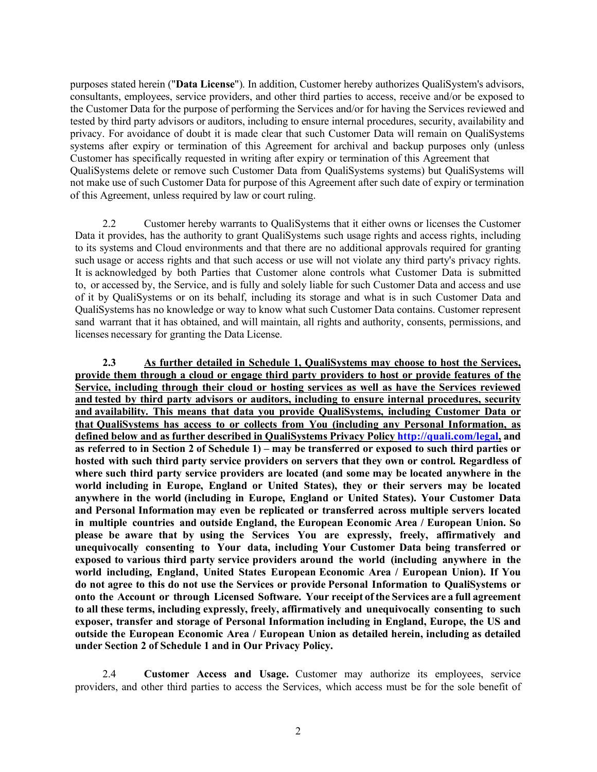purposes stated herein ("**Data License**"). In addition, Customer hereby authorizes QualiSystem's advisors, consultants, employees, service providers, and other third parties to access, receive and/or be exposed to the Customer Data for the purpose of performing the Services and/or for having the Services reviewed and tested by third party advisors or auditors, including to ensure internal procedures, security, availability and privacy. For avoidance of doubt it is made clear that such Customer Data will remain on QualiSystems systems after expiry or termination of this Agreement for archival and backup purposes only (unless Customer has specifically requested in writing after expiry or termination of this Agreement that QualiSystems delete or remove such Customer Data from QualiSystems systems) but QualiSystems will not make use of such Customer Data for purpose of this Agreement after such date of expiry or termination of this Agreement, unless required by law or court ruling.

2.2 Customer hereby warrants to QualiSystems that it either owns or licenses the Customer Data it provides, has the authority to grant QualiSystems such usage rights and access rights, including to its systems and Cloud environments and that there are no additional approvals required for granting such usage or access rights and that such access or use will not violate any third party's privacy rights. It is acknowledged by both Parties that Customer alone controls what Customer Data is submitted to, or accessed by, the Service, and is fully and solely liable for such Customer Data and access and use of it by QualiSystems or on its behalf, including its storage and what is in such Customer Data and QualiSystems has no knowledge or way to know what such Customer Data contains. Customer represent sand warrant that it has obtained, and will maintain, all rights and authority, consents, permissions, and licenses necessary for granting the Data License.

**2.3 As further detailed in Schedule 1, QualiSystems may choose to host the Services, provide them through a cloud or engage third party providers to host or provide features of the Service, including through their cloud or hosting services as well as have the Services reviewed and tested by third party advisors or auditors, including to ensure internal procedures, security and availability. This means that data you provide QualiSystems, including Customer Data or that QualiSystems has access to or collects from You (including any Personal Information, as defined below and as further described in QualiSystems Privacy Policy http://quali.com/legal, and** as referred to in Section 2 of Schedule 1) – may be transferred or exposed to such third parties or **hosted with such third party service providers on servers that they own or control. Regardless of where such third party service providers are located (and some may be located anywhere in the world including in Europe, England or United States), they or their servers may be located anywhere in the world (including in Europe, England or United States). Your Customer Data and Personal Information may even be replicated or transferred across multiple servers located in multiple countries and outside England, the European Economic Area / European Union. So please be aware that by using the Services You are expressly, freely, affirmatively and unequivocally consenting to Your data, including Your Customer Data being transferred or exposed to various third party service providers around the world (including anywhere in the world including, England, United States European Economic Area / European Union). If You do not agree to this do not use the Services or provide Personal Information to QualiSystems or onto the Account or through Licensed Software. Your receipt of the Services are a full agreement to all these terms, including expressly, freely, affirmatively and unequivocally consenting to such exposer, transfer and storage of Personal Information including in England, Europe, the US and outside the European Economic Area / European Union as detailed herein, including as detailed under Section 2 of Schedule 1 and in Our Privacy Policy.**

2.4 **Customer Access and Usage.** Customer may authorize its employees, service providers, and other third parties to access the Services, which access must be for the sole benefit of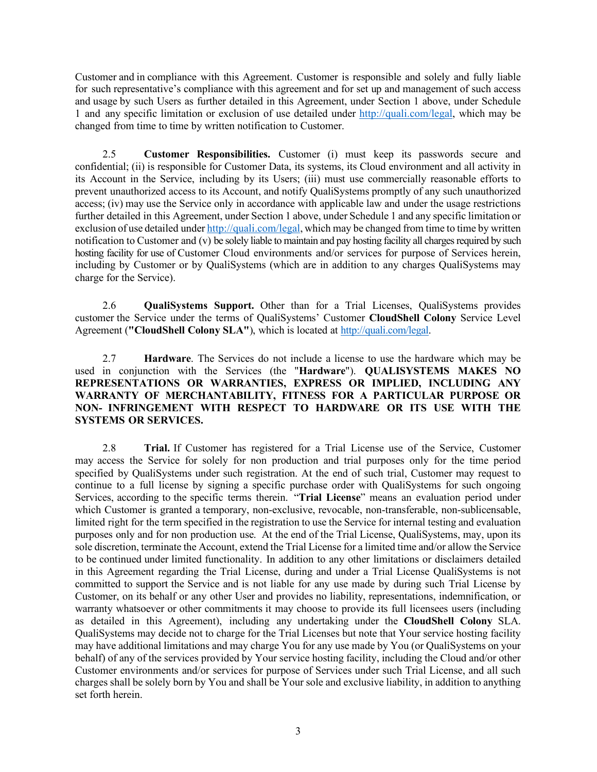Customer and in compliance with this Agreement. Customer is responsible and solely and fully liable for such representative's compliance with this agreement and for set up and management of such access and usage by such Users as further detailed in this Agreement, under Section 1 above, under Schedule 1 and any specific limitation or exclusion of use detailed under http://quali.com/legal, which may be changed from time to time by written notification to Customer.

2.5 **Customer Responsibilities.** Customer (i) must keep its passwords secure and confidential; (ii) is responsible for Customer Data, its systems, its Cloud environment and all activity in its Account in the Service, including by its Users; (iii) must use commercially reasonable efforts to prevent unauthorized access to its Account, and notify QualiSystems promptly of any such unauthorized access; (iv) may use the Service only in accordance with applicable law and under the usage restrictions further detailed in this Agreement, under Section 1 above, under Schedule 1 and any specific limitation or exclusion of use detailed under http://quali.com/legal, which may be changed from time to time by written notification to Customer and (v) be solely liable to maintain and pay hosting facility all charges required by such hosting facility for use of Customer Cloud environments and/or services for purpose of Services herein, including by Customer or by QualiSystems (which are in addition to any charges QualiSystems may charge for the Service).

2.6 **QualiSystems Support.** Other than for a Trial Licenses, QualiSystems provides customer the Service under the terms of QualiSystems' Customer **CloudShell Colony** Service Level Agreement (**"CloudShell Colony SLA"**), which is located at http://quali.com/legal.

2.7 **Hardware**. The Services do not include a license to use the hardware which may be used in conjunction with the Services (the "**Hardware**"). **QUALISYSTEMS MAKES NO REPRESENTATIONS OR WARRANTIES, EXPRESS OR IMPLIED, INCLUDING ANY WARRANTY OF MERCHANTABILITY, FITNESS FOR A PARTICULAR PURPOSE OR NON- INFRINGEMENT WITH RESPECT TO HARDWARE OR ITS USE WITH THE SYSTEMS OR SERVICES.**

2.8 **Trial.** If Customer has registered for a Trial License use of the Service, Customer may access the Service for solely for non production and trial purposes only for the time period specified by QualiSystems under such registration. At the end of such trial, Customer may request to continue to a full license by signing a specific purchase order with QualiSystems for such ongoing Services, according to the specific terms therein. "**Trial License**" means an evaluation period under which Customer is granted a temporary, non-exclusive, revocable, non-transferable, non-sublicensable, limited right for the term specified in the registration to use the Service for internal testing and evaluation purposes only and for non production use. At the end of the Trial License, QualiSystems, may, upon its sole discretion, terminate the Account, extend the Trial License for a limited time and/or allow the Service to be continued under limited functionality. In addition to any other limitations or disclaimers detailed in this Agreement regarding the Trial License, during and under a Trial License QualiSystems is not committed to support the Service and is not liable for any use made by during such Trial License by Customer, on its behalf or any other User and provides no liability, representations, indemnification, or warranty whatsoever or other commitments it may choose to provide its full licensees users (including as detailed in this Agreement), including any undertaking under the **CloudShell Colony** SLA. QualiSystems may decide not to charge for the Trial Licenses but note that Your service hosting facility may have additional limitations and may charge You for any use made by You (or QualiSystems on your behalf) of any of the services provided by Your service hosting facility, including the Cloud and/or other Customer environments and/or services for purpose of Services under such Trial License, and all such charges shall be solely born by You and shall be Your sole and exclusive liability, in addition to anything set forth herein.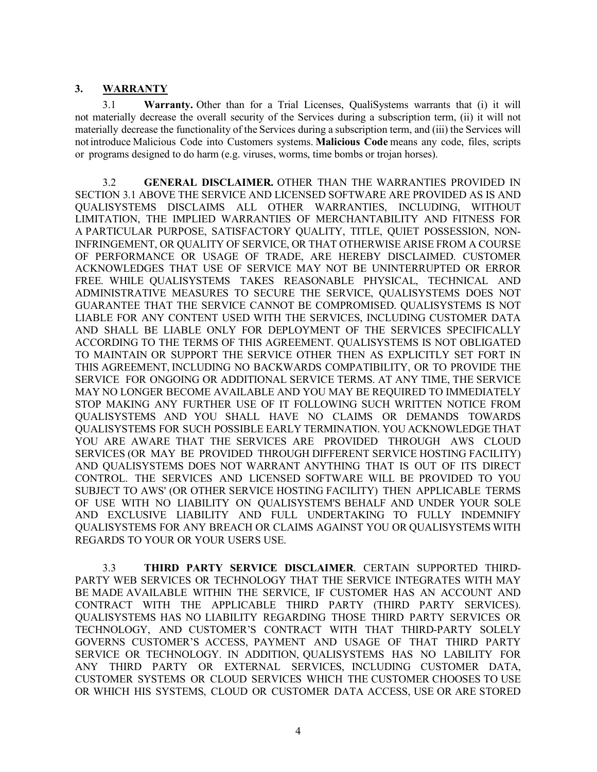#### **3. WARRANTY**

3.1 **Warranty.** Other than for a Trial Licenses, QualiSystems warrants that (i) it will not materially decrease the overall security of the Services during a subscription term, (ii) it will not materially decrease the functionality of the Services during a subscription term, and (iii) the Services will not introduce Malicious Code into Customers systems. **Malicious Code** means any code, files, scripts or programs designed to do harm (e.g. viruses, worms, time bombs or trojan horses).

3.2 **GENERAL DISCLAIMER.** OTHER THAN THE WARRANTIES PROVIDED IN SECTION 3.1 ABOVE THE SERVICE AND LICENSED SOFTWARE ARE PROVIDED AS IS AND QUALISYSTEMS DISCLAIMS ALL OTHER WARRANTIES, INCLUDING, WITHOUT LIMITATION, THE IMPLIED WARRANTIES OF MERCHANTABILITY AND FITNESS FOR A PARTICULAR PURPOSE, SATISFACTORY QUALITY, TITLE, QUIET POSSESSION, NON-INFRINGEMENT, OR QUALITY OF SERVICE, OR THAT OTHERWISE ARISE FROM A COURSE OF PERFORMANCE OR USAGE OF TRADE, ARE HEREBY DISCLAIMED. CUSTOMER ACKNOWLEDGES THAT USE OF SERVICE MAY NOT BE UNINTERRUPTED OR ERROR FREE. WHILE QUALISYSTEMS TAKES REASONABLE PHYSICAL, TECHNICAL AND ADMINISTRATIVE MEASURES TO SECURE THE SERVICE, QUALISYSTEMS DOES NOT GUARANTEE THAT THE SERVICE CANNOT BE COMPROMISED. QUALISYSTEMS IS NOT LIABLE FOR ANY CONTENT USED WITH THE SERVICES, INCLUDING CUSTOMER DATA AND SHALL BE LIABLE ONLY FOR DEPLOYMENT OF THE SERVICES SPECIFICALLY ACCORDING TO THE TERMS OF THIS AGREEMENT. QUALISYSTEMS IS NOT OBLIGATED TO MAINTAIN OR SUPPORT THE SERVICE OTHER THEN AS EXPLICITLY SET FORT IN THIS AGREEMENT, INCLUDING NO BACKWARDS COMPATIBILITY, OR TO PROVIDE THE SERVICE FOR ONGOING OR ADDITIONAL SERVICE TERMS. AT ANY TIME, THE SERVICE MAY NO LONGER BECOME AVAILABLE AND YOU MAY BE REQUIRED TO IMMEDIATELY STOP MAKING ANY FURTHER USE OF IT FOLLOWING SUCH WRITTEN NOTICE FROM QUALISYSTEMS AND YOU SHALL HAVE NO CLAIMS OR DEMANDS TOWARDS QUALISYSTEMS FOR SUCH POSSIBLE EARLY TERMINATION. YOU ACKNOWLEDGE THAT YOU ARE AWARE THAT THE SERVICES ARE PROVIDED THROUGH AWS CLOUD SERVICES (OR MAY BE PROVIDED THROUGH DIFFERENT SERVICE HOSTING FACILITY) AND QUALISYSTEMS DOES NOT WARRANT ANYTHING THAT IS OUT OF ITS DIRECT CONTROL. THE SERVICES AND LICENSED SOFTWARE WILL BE PROVIDED TO YOU SUBJECT TO AWS' (OR OTHER SERVICE HOSTING FACILITY) THEN APPLICABLE TERMS OF USE WITH NO LIABILITY ON QUALISYSTEM'S BEHALF AND UNDER YOUR SOLE AND EXCLUSIVE LIABILITY AND FULL UNDERTAKING TO FULLY INDEMNIFY QUALISYSTEMS FOR ANY BREACH OR CLAIMS AGAINST YOU OR QUALISYSTEMS WITH REGARDS TO YOUR OR YOUR USERS USE.

3.3 **THIRD PARTY SERVICE DISCLAIMER**. CERTAIN SUPPORTED THIRD-PARTY WEB SERVICES OR TECHNOLOGY THAT THE SERVICE INTEGRATES WITH MAY BE MADE AVAILABLE WITHIN THE SERVICE, IF CUSTOMER HAS AN ACCOUNT AND CONTRACT WITH THE APPLICABLE THIRD PARTY (THIRD PARTY SERVICES). QUALISYSTEMS HAS NO LIABILITY REGARDING THOSE THIRD PARTY SERVICES OR TECHNOLOGY, AND CUSTOMER'S CONTRACT WITH THAT THIRD-PARTY SOLELY GOVERNS CUSTOMER'S ACCESS, PAYMENT AND USAGE OF THAT THIRD PARTY SERVICE OR TECHNOLOGY. IN ADDITION, QUALISYSTEMS HAS NO LABILITY FOR ANY THIRD PARTY OR EXTERNAL SERVICES, INCLUDING CUSTOMER DATA, CUSTOMER SYSTEMS OR CLOUD SERVICES WHICH THE CUSTOMER CHOOSES TO USE OR WHICH HIS SYSTEMS, CLOUD OR CUSTOMER DATA ACCESS, USE OR ARE STORED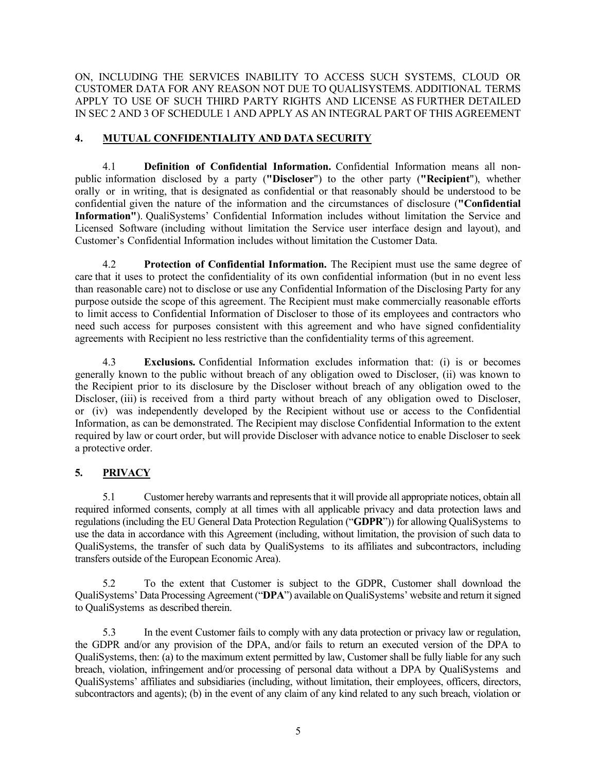ON, INCLUDING THE SERVICES INABILITY TO ACCESS SUCH SYSTEMS, CLOUD OR CUSTOMER DATA FOR ANY REASON NOT DUE TO QUALISYSTEMS. ADDITIONAL TERMS APPLY TO USE OF SUCH THIRD PARTY RIGHTS AND LICENSE AS FURTHER DETAILED IN SEC 2 AND 3 OF SCHEDULE 1 AND APPLY AS AN INTEGRAL PART OF THIS AGREEMENT

## **4. MUTUAL CONFIDENTIALITY AND DATA SECURITY**

4.1 **Definition of Confidential Information.** Confidential Information means all nonpublic information disclosed by a party (**"Discloser**") to the other party (**"Recipient**"), whether orally or in writing, that is designated as confidential or that reasonably should be understood to be confidential given the nature of the information and the circumstances of disclosure (**"Confidential Information"**). QualiSystems' Confidential Information includes without limitation the Service and Licensed Software (including without limitation the Service user interface design and layout), and Customer's Confidential Information includes without limitation the Customer Data.

4.2 **Protection of Confidential Information.** The Recipient must use the same degree of care that it uses to protect the confidentiality of its own confidential information (but in no event less than reasonable care) not to disclose or use any Confidential Information of the Disclosing Party for any purpose outside the scope of this agreement. The Recipient must make commercially reasonable efforts to limit access to Confidential Information of Discloser to those of its employees and contractors who need such access for purposes consistent with this agreement and who have signed confidentiality agreements with Recipient no less restrictive than the confidentiality terms of this agreement.

4.3 **Exclusions.** Confidential Information excludes information that: (i) is or becomes generally known to the public without breach of any obligation owed to Discloser, (ii) was known to the Recipient prior to its disclosure by the Discloser without breach of any obligation owed to the Discloser, (iii) is received from a third party without breach of any obligation owed to Discloser, or (iv) was independently developed by the Recipient without use or access to the Confidential Information, as can be demonstrated. The Recipient may disclose Confidential Information to the extent required by law or court order, but will provide Discloser with advance notice to enable Discloser to seek a protective order.

## **5. PRIVACY**

5.1 Customer hereby warrants and represents that it will provide all appropriate notices, obtain all required informed consents, comply at all times with all applicable privacy and data protection laws and regulations (including the EU General Data Protection Regulation ("**GDPR**")) for allowing QualiSystems to use the data in accordance with this Agreement (including, without limitation, the provision of such data to QualiSystems, the transfer of such data by QualiSystems to its affiliates and subcontractors, including transfers outside of the European Economic Area).

5.2 To the extent that Customer is subject to the GDPR, Customer shall download the QualiSystems' Data Processing Agreement ("**DPA**") available on QualiSystems' website and return it signed to QualiSystems as described therein.

5.3 In the event Customer fails to comply with any data protection or privacy law or regulation, the GDPR and/or any provision of the DPA, and/or fails to return an executed version of the DPA to QualiSystems, then: (a) to the maximum extent permitted by law, Customer shall be fully liable for any such breach, violation, infringement and/or processing of personal data without a DPA by QualiSystems and QualiSystems' affiliates and subsidiaries (including, without limitation, their employees, officers, directors, subcontractors and agents); (b) in the event of any claim of any kind related to any such breach, violation or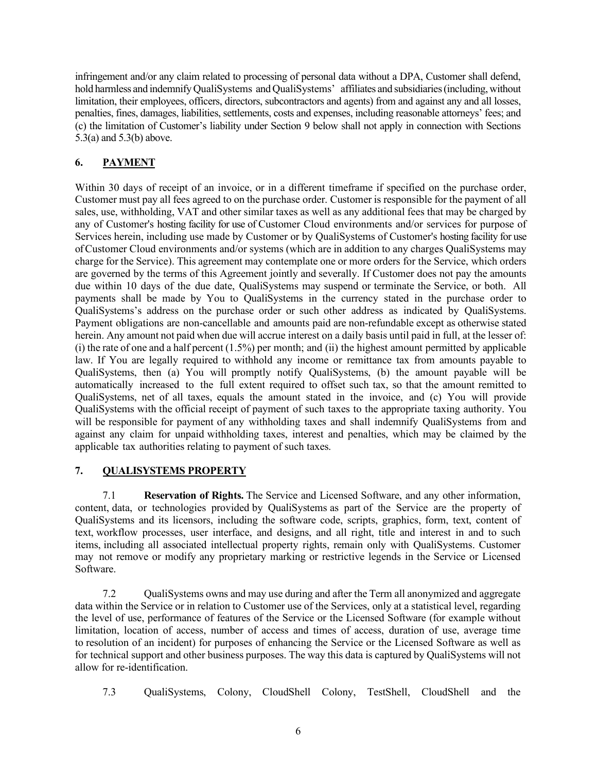infringement and/or any claim related to processing of personal data without a DPA, Customer shall defend, hold harmless and indemnify QualiSystems and QualiSystems' affiliates and subsidiaries (including, without limitation, their employees, officers, directors, subcontractors and agents) from and against any and all losses, penalties, fines, damages, liabilities, settlements, costs and expenses, including reasonable attorneys' fees; and (c) the limitation of Customer's liability under Section 9 below shall not apply in connection with Sections 5.3(a) and 5.3(b) above.

# **6. PAYMENT**

Within 30 days of receipt of an invoice, or in a different timeframe if specified on the purchase order, Customer must pay all fees agreed to on the purchase order. Customer is responsible for the payment of all sales, use, withholding, VAT and other similar taxes as well as any additional fees that may be charged by any of Customer's hosting facility for use of Customer Cloud environments and/or services for purpose of Services herein, including use made by Customer or by QualiSystems of Customer's hosting facility for use of Customer Cloud environments and/or systems (which are in addition to any charges QualiSystems may charge for the Service). This agreement may contemplate one or more orders for the Service, which orders are governed by the terms of this Agreement jointly and severally. If Customer does not pay the amounts due within 10 days of the due date, QualiSystems may suspend or terminate the Service, or both. All payments shall be made by You to QualiSystems in the currency stated in the purchase order to QualiSystems's address on the purchase order or such other address as indicated by QualiSystems. Payment obligations are non-cancellable and amounts paid are non-refundable except as otherwise stated herein. Any amount not paid when due will accrue interest on a daily basis until paid in full, at the lesser of: (i) the rate of one and a half percent (1.5%) per month; and (ii) the highest amount permitted by applicable law. If You are legally required to withhold any income or remittance tax from amounts payable to QualiSystems, then (a) You will promptly notify QualiSystems, (b) the amount payable will be automatically increased to the full extent required to offset such tax, so that the amount remitted to QualiSystems, net of all taxes, equals the amount stated in the invoice, and (c) You will provide QualiSystems with the official receipt of payment of such taxes to the appropriate taxing authority. You will be responsible for payment of any withholding taxes and shall indemnify QualiSystems from and against any claim for unpaid withholding taxes, interest and penalties, which may be claimed by the applicable tax authorities relating to payment of such taxes.

## **7. QUALISYSTEMS PROPERTY**

7.1 **Reservation of Rights.** The Service and Licensed Software, and any other information, content, data, or technologies provided by QualiSystems as part of the Service are the property of QualiSystems and its licensors, including the software code, scripts, graphics, form, text, content of text, workflow processes, user interface, and designs, and all right, title and interest in and to such items, including all associated intellectual property rights, remain only with QualiSystems. Customer may not remove or modify any proprietary marking or restrictive legends in the Service or Licensed Software.

7.2 QualiSystems owns and may use during and after the Term all anonymized and aggregate data within the Service or in relation to Customer use of the Services, only at a statistical level, regarding the level of use, performance of features of the Service or the Licensed Software (for example without limitation, location of access, number of access and times of access, duration of use, average time to resolution of an incident) for purposes of enhancing the Service or the Licensed Software as well as for technical support and other business purposes. The way this data is captured by QualiSystems will not allow for re-identification.

7.3 QualiSystems, Colony, CloudShell Colony, TestShell, CloudShell and the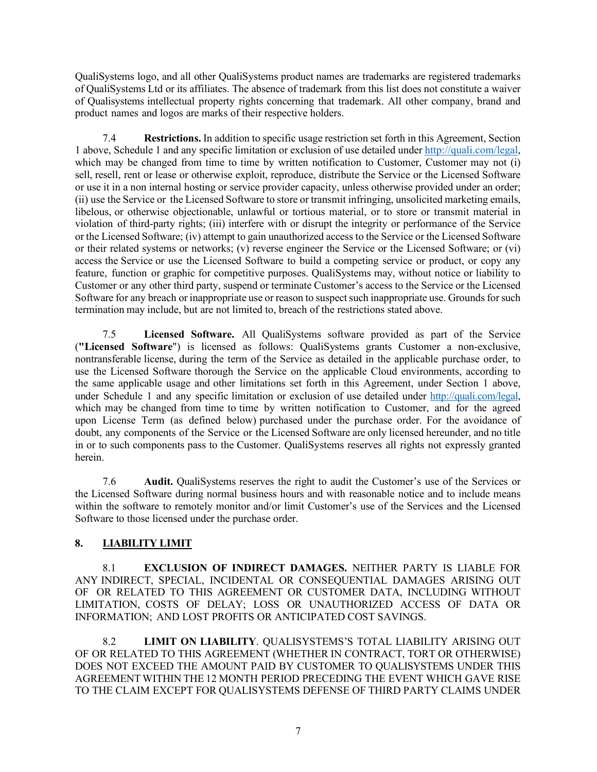QualiSystems logo, and all other QualiSystems product names are trademarks are registered trademarks of QualiSystems Ltd or its affiliates. The absence of trademark from this list does not constitute a waiver of Qualisystems intellectual property rights concerning that trademark. All other company, brand and product names and logos are marks of their respective holders.

7.4 **Restrictions.** In addition to specific usage restriction set forth in this Agreement, Section 1 above, Schedule 1 and any specific limitation or exclusion of use detailed under http://quali.com/legal, which may be changed from time to time by written notification to Customer, Customer may not (i) sell, resell, rent or lease or otherwise exploit, reproduce, distribute the Service or the Licensed Software or use it in a non internal hosting or service provider capacity, unless otherwise provided under an order; (ii) use the Service or the Licensed Software to store or transmit infringing, unsolicited marketing emails, libelous, or otherwise objectionable, unlawful or tortious material, or to store or transmit material in violation of third-party rights; (iii) interfere with or disrupt the integrity or performance of the Service or the Licensed Software; (iv) attempt to gain unauthorized access to the Service or the Licensed Software or their related systems or networks; (v) reverse engineer the Service or the Licensed Software; or (vi) access the Service or use the Licensed Software to build a competing service or product, or copy any feature, function or graphic for competitive purposes. QualiSystems may, without notice or liability to Customer or any other third party, suspend or terminate Customer's access to the Service or the Licensed Software for any breach or inappropriate use or reason to suspect such inappropriate use. Grounds for such termination may include, but are not limited to, breach of the restrictions stated above.

7.5 **Licensed Software.** All QualiSystems software provided as part of the Service (**"Licensed Software**") is licensed as follows: QualiSystems grants Customer a non-exclusive, nontransferable license, during the term of the Service as detailed in the applicable purchase order, to use the Licensed Software thorough the Service on the applicable Cloud environments, according to the same applicable usage and other limitations set forth in this Agreement, under Section 1 above, under Schedule 1 and any specific limitation or exclusion of use detailed under http://quali.com/legal, which may be changed from time to time by written notification to Customer, and for the agreed upon License Term (as defined below) purchased under the purchase order. For the avoidance of doubt, any components of the Service or the Licensed Software are only licensed hereunder, and no title in or to such components pass to the Customer. QualiSystems reserves all rights not expressly granted herein.

7.6 **Audit.** QualiSystems reserves the right to audit the Customer's use of the Services or the Licensed Software during normal business hours and with reasonable notice and to include means within the software to remotely monitor and/or limit Customer's use of the Services and the Licensed Software to those licensed under the purchase order.

## **8. LIABILITY LIMIT**

8.1 **EXCLUSION OF INDIRECT DAMAGES.** NEITHER PARTY IS LIABLE FOR ANY INDIRECT, SPECIAL, INCIDENTAL OR CONSEQUENTIAL DAMAGES ARISING OUT OF OR RELATED TO THIS AGREEMENT OR CUSTOMER DATA, INCLUDING WITHOUT LIMITATION, COSTS OF DELAY; LOSS OR UNAUTHORIZED ACCESS OF DATA OR INFORMATION; AND LOST PROFITS OR ANTICIPATED COST SAVINGS.

8.2 **LIMIT ON LIABILITY**. QUALISYSTEMS'S TOTAL LIABILITY ARISING OUT OF OR RELATED TO THIS AGREEMENT (WHETHER IN CONTRACT, TORT OR OTHERWISE) DOES NOT EXCEED THE AMOUNT PAID BY CUSTOMER TO QUALISYSTEMS UNDER THIS AGREEMENTWITHIN THE 12 MONTH PERIOD PRECEDING THE EVENT WHICH GAVE RISE TO THE CLAIM EXCEPT FOR QUALISYSTEMS DEFENSE OF THIRD PARTY CLAIMS UNDER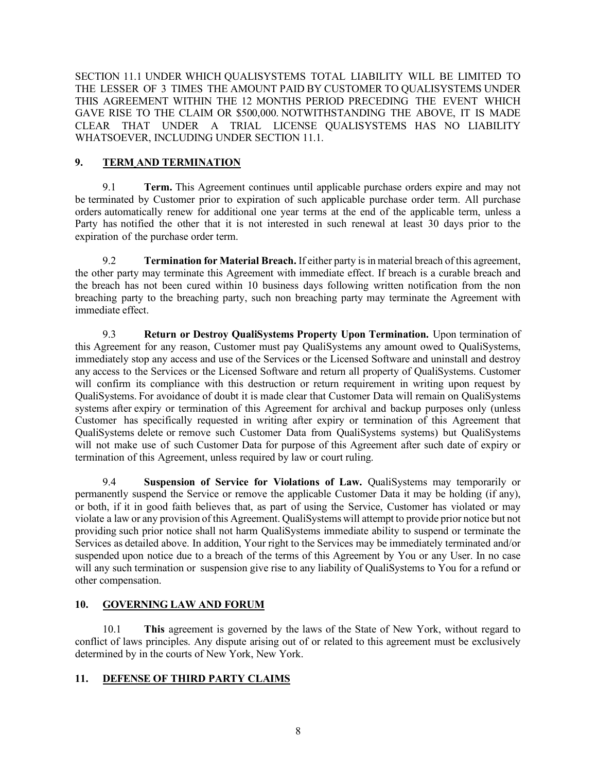SECTION 11.1 UNDER WHICH QUALISYSTEMS TOTAL LIABILITY WILL BE LIMITED TO THE LESSER OF 3 TIMES THE AMOUNT PAID BY CUSTOMER TO QUALISYSTEMS UNDER THIS AGREEMENT WITHIN THE 12 MONTHS PERIOD PRECEDING THE EVENT WHICH GAVE RISE TO THE CLAIM OR \$500,000. NOTWITHSTANDING THE ABOVE, IT IS MADE CLEAR THAT UNDER A TRIAL LICENSE QUALISYSTEMS HAS NO LIABILITY WHATSOEVER, INCLUDING UNDER SECTION 11.1.

## **9. TERM AND TERMINATION**

9.1 **Term.** This Agreement continues until applicable purchase orders expire and may not be terminated by Customer prior to expiration of such applicable purchase order term. All purchase orders automatically renew for additional one year terms at the end of the applicable term, unless a Party has notified the other that it is not interested in such renewal at least 30 days prior to the expiration of the purchase order term.

9.2 **Termination for Material Breach.** If either party is in material breach of this agreement, the other party may terminate this Agreement with immediate effect. If breach is a curable breach and the breach has not been cured within 10 business days following written notification from the non breaching party to the breaching party, such non breaching party may terminate the Agreement with immediate effect.

9.3 **Return or Destroy QualiSystems Property Upon Termination.** Upon termination of this Agreement for any reason, Customer must pay QualiSystems any amount owed to QualiSystems, immediately stop any access and use of the Services or the Licensed Software and uninstall and destroy any access to the Services or the Licensed Software and return all property of QualiSystems. Customer will confirm its compliance with this destruction or return requirement in writing upon request by QualiSystems. For avoidance of doubt it is made clear that Customer Data will remain on QualiSystems systems after expiry or termination of this Agreement for archival and backup purposes only (unless Customer has specifically requested in writing after expiry or termination of this Agreement that QualiSystems delete or remove such Customer Data from QualiSystems systems) but QualiSystems will not make use of such Customer Data for purpose of this Agreement after such date of expiry or termination of this Agreement, unless required by law or court ruling.

9.4 **Suspension of Service for Violations of Law.** QualiSystems may temporarily or permanently suspend the Service or remove the applicable Customer Data it may be holding (if any), or both, if it in good faith believes that, as part of using the Service, Customer has violated or may violate a law or any provision of this Agreement. QualiSystems will attempt to provide prior notice but not providing such prior notice shall not harm QualiSystems immediate ability to suspend or terminate the Services as detailed above. In addition, Your right to the Services may be immediately terminated and/or suspended upon notice due to a breach of the terms of this Agreement by You or any User. In no case will any such termination or suspension give rise to any liability of QualiSystems to You for a refund or other compensation.

## **10. GOVERNING LAW AND FORUM**

10.1 **This** agreement is governed by the laws of the State of New York, without regard to conflict of laws principles. Any dispute arising out of or related to this agreement must be exclusively determined by in the courts of New York, New York.

## **11. DEFENSE OF THIRD PARTY CLAIMS**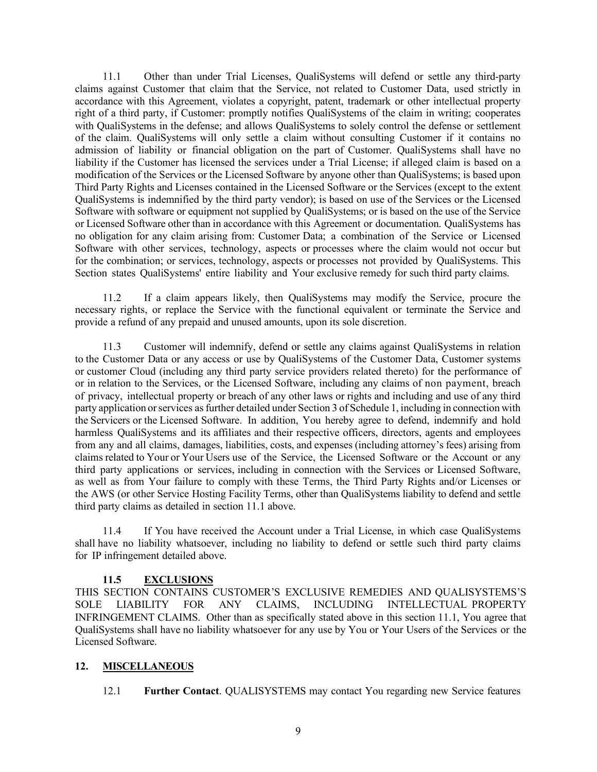11.1 Other than under Trial Licenses, QualiSystems will defend or settle any third-party claims against Customer that claim that the Service, not related to Customer Data, used strictly in accordance with this Agreement, violates a copyright, patent, trademark or other intellectual property right of a third party, if Customer: promptly notifies QualiSystems of the claim in writing; cooperates with QualiSystems in the defense; and allows QualiSystems to solely control the defense or settlement of the claim. QualiSystems will only settle a claim without consulting Customer if it contains no admission of liability or financial obligation on the part of Customer. QualiSystems shall have no liability if the Customer has licensed the services under a Trial License; if alleged claim is based on a modification of the Services or the Licensed Software by anyone other than QualiSystems; is based upon Third Party Rights and Licenses contained in the Licensed Software or the Services (except to the extent QualiSystems is indemnified by the third party vendor); is based on use of the Services or the Licensed Software with software or equipment not supplied by QualiSystems; or is based on the use of the Service or Licensed Software other than in accordance with this Agreement or documentation. QualiSystems has no obligation for any claim arising from: Customer Data; a combination of the Service or Licensed Software with other services, technology, aspects or processes where the claim would not occur but for the combination; or services, technology, aspects or processes not provided by QualiSystems. This Section states QualiSystems' entire liability and Your exclusive remedy for such third party claims.

11.2 If a claim appears likely, then QualiSystems may modify the Service, procure the necessary rights, or replace the Service with the functional equivalent or terminate the Service and provide a refund of any prepaid and unused amounts, upon its sole discretion.

11.3 Customer will indemnify, defend or settle any claims against QualiSystems in relation to the Customer Data or any access or use by QualiSystems of the Customer Data, Customer systems or customer Cloud (including any third party service providers related thereto) for the performance of or in relation to the Services, or the Licensed Software, including any claims of non payment, breach of privacy, intellectual property or breach of any other laws or rights and including and use of any third party application orservices asfurther detailed under Section 3 of Schedule 1, including in connection with the Servicers or the Licensed Software. In addition, You hereby agree to defend, indemnify and hold harmless QualiSystems and its affiliates and their respective officers, directors, agents and employees from any and all claims, damages, liabilities, costs, and expenses (including attorney's fees) arising from claims related to Your or Your Users use of the Service, the Licensed Software or the Account or any third party applications or services, including in connection with the Services or Licensed Software, as well as from Your failure to comply with these Terms, the Third Party Rights and/or Licenses or the AWS (or other Service Hosting Facility Terms, other than QualiSystems liability to defend and settle third party claims as detailed in section 11.1 above.

11.4 If You have received the Account under a Trial License, in which case QualiSystems shall have no liability whatsoever, including no liability to defend or settle such third party claims for IP infringement detailed above.

## **11.5 EXCLUSIONS**

THIS SECTION CONTAINS CUSTOMER'S EXCLUSIVE REMEDIES AND QUALISYSTEMS'S SOLE LIABILITY FOR ANY CLAIMS, INCLUDING INTELLECTUAL PROPERTY INFRINGEMENT CLAIMS. Other than as specifically stated above in this section 11.1, You agree that QualiSystems shall have no liability whatsoever for any use by You or Your Users of the Services or the Licensed Software.

#### **12. MISCELLANEOUS**

12.1 **Further Contact**. QUALISYSTEMS may contact You regarding new Service features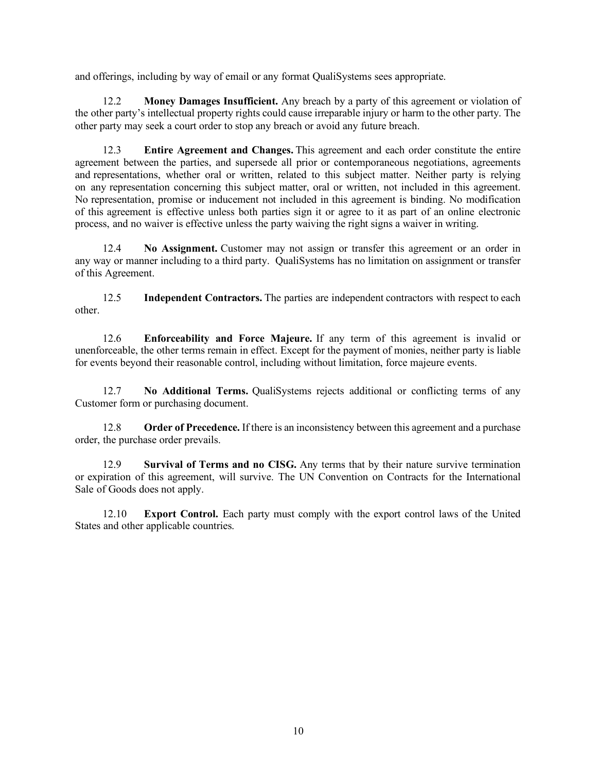and offerings, including by way of email or any format QualiSystems sees appropriate.

12.2 **Money Damages Insufficient.** Any breach by a party of this agreement or violation of the other party's intellectual property rights could cause irreparable injury or harm to the other party. The other party may seek a court order to stop any breach or avoid any future breach.

12.3 **Entire Agreement and Changes.** This agreement and each order constitute the entire agreement between the parties, and supersede all prior or contemporaneous negotiations, agreements and representations, whether oral or written, related to this subject matter. Neither party is relying on any representation concerning this subject matter, oral or written, not included in this agreement. No representation, promise or inducement not included in this agreement is binding. No modification of this agreement is effective unless both parties sign it or agree to it as part of an online electronic process, and no waiver is effective unless the party waiving the right signs a waiver in writing.

12.4 **No Assignment.** Customer may not assign or transfer this agreement or an order in any way or manner including to a third party. QualiSystems has no limitation on assignment or transfer of this Agreement.

12.5 **Independent Contractors.** The parties are independent contractors with respect to each other.

12.6 **Enforceability and Force Majeure.** If any term of this agreement is invalid or unenforceable, the other terms remain in effect. Except for the payment of monies, neither party is liable for events beyond their reasonable control, including without limitation, force majeure events.

12.7 **No Additional Terms.** QualiSystems rejects additional or conflicting terms of any Customer form or purchasing document.

12.8 **Order of Precedence.** If there is an inconsistency between this agreement and a purchase order, the purchase order prevails.

12.9 **Survival of Terms and no CISG.** Any terms that by their nature survive termination or expiration of this agreement, will survive. The UN Convention on Contracts for the International Sale of Goods does not apply.

12.10 **Export Control.** Each party must comply with the export control laws of the United States and other applicable countries.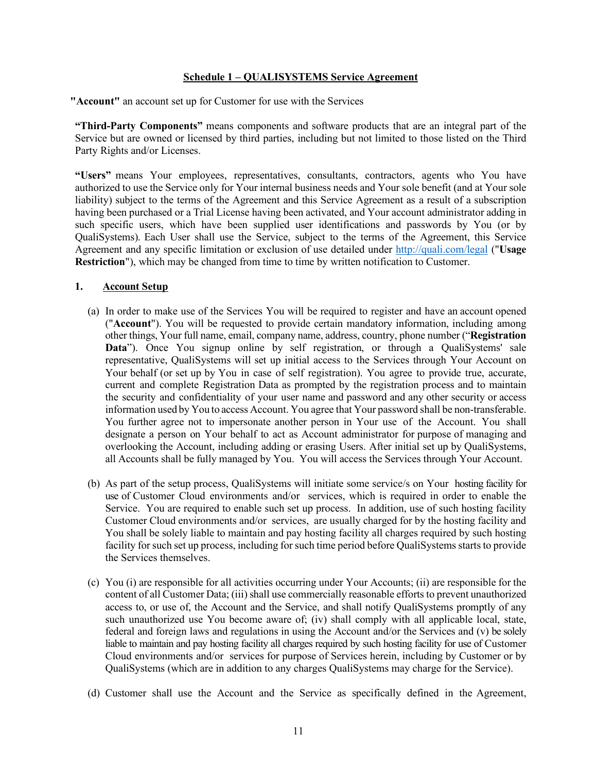## **Schedule 1 – QUALISYSTEMS Service Agreement**

**"Account"** an account set up for Customer for use with the Services

**"Third-Party Components"** means components and software products that are an integral part of the Service but are owned or licensed by third parties, including but not limited to those listed on the Third Party Rights and/or Licenses.

**"Users"** means Your employees, representatives, consultants, contractors, agents who You have authorized to use the Service only for Your internal business needs and Your sole benefit (and at Your sole liability) subject to the terms of the Agreement and this Service Agreement as a result of a subscription having been purchased or a Trial License having been activated, and Your account administrator adding in such specific users, which have been supplied user identifications and passwords by You (or by QualiSystems). Each User shall use the Service, subject to the terms of the Agreement, this Service Agreement and any specific limitation or exclusion of use detailed under http://quali.com/legal ("**Usage Restriction**"), which may be changed from time to time by written notification to Customer.

## **1. Account Setup**

- (a) In order to make use of the Services You will be required to register and have an account opened ("**Account**"). You will be requested to provide certain mandatory information, including among other things, Your full name, email, company name, address, country, phone number ("**Registration Data**"). Once You signup online by self registration, or through a QualiSystems' sale representative, QualiSystems will set up initial access to the Services through Your Account on Your behalf (or set up by You in case of self registration). You agree to provide true, accurate, current and complete Registration Data as prompted by the registration process and to maintain the security and confidentiality of your user name and password and any other security or access information used by You to access Account. You agree that Your password shall be non-transferable. You further agree not to impersonate another person in Your use of the Account. You shall designate a person on Your behalf to act as Account administrator for purpose of managing and overlooking the Account, including adding or erasing Users. After initial set up by QualiSystems, all Accounts shall be fully managed by You. You will access the Services through Your Account.
- (b) As part of the setup process, QualiSystems will initiate some service/s on Your hosting facility for use of Customer Cloud environments and/or services, which is required in order to enable the Service. You are required to enable such set up process. In addition, use of such hosting facility Customer Cloud environments and/or services, are usually charged for by the hosting facility and You shall be solely liable to maintain and pay hosting facility all charges required by such hosting facility for such set up process, including for such time period before QualiSystems starts to provide the Services themselves.
- (c) You (i) are responsible for all activities occurring under Your Accounts; (ii) are responsible for the content of all Customer Data; (iii) shall use commercially reasonable efforts to prevent unauthorized access to, or use of, the Account and the Service, and shall notify QualiSystems promptly of any such unauthorized use You become aware of; (iv) shall comply with all applicable local, state, federal and foreign laws and regulations in using the Account and/or the Services and (v) be solely liable to maintain and pay hosting facility all charges required by such hosting facility for use of Customer Cloud environments and/or services for purpose of Services herein, including by Customer or by QualiSystems (which are in addition to any charges QualiSystems may charge for the Service).
- (d) Customer shall use the Account and the Service as specifically defined in the Agreement,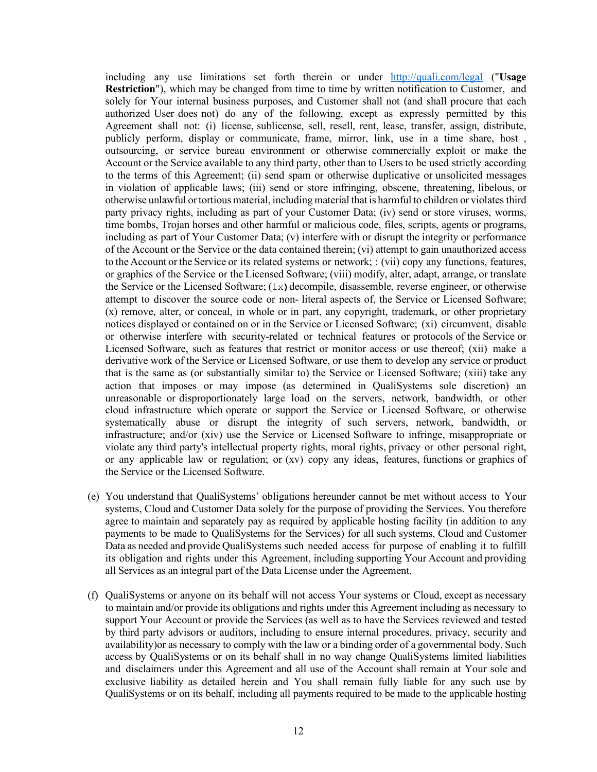including any use limitations set forth therein or under http://quali.com/legal ("**Usage Restriction**"), which may be changed from time to time by written notification to Customer, and solely for Your internal business purposes, and Customer shall not (and shall procure that each authorized User does not) do any of the following, except as expressly permitted by this Agreement shall not: (i) license, sublicense, sell, resell, rent, lease, transfer, assign, distribute, publicly perform, display or communicate, frame, mirror, link, use in a time share, host , outsourcing, or service bureau environment or otherwise commercially exploit or make the Account or the Service available to any third party, other than to Users to be used strictly according to the terms of this Agreement; (ii) send spam or otherwise duplicative or unsolicited messages in violation of applicable laws; (iii) send or store infringing, obscene, threatening, libelous, or otherwise unlawful ortortiousmaterial, includingmaterial that is harmful to children or violates third party privacy rights, including as part of your Customer Data; (iv) send or store viruses, worms, time bombs, Trojan horses and other harmful or malicious code, files, scripts, agents or programs, including as part of Your Customer Data; (v) interfere with or disrupt the integrity or performance of the Account or the Service or the data contained therein; (vi) attempt to gain unauthorized access to the Account orthe Service or its related systems or network; : (vii) copy any functions, features, or graphics of the Service or the Licensed Software; (viii) modify, alter, adapt, arrange, or translate the Service or the Licensed Software; (ix**)**decompile, disassemble, reverse engineer, or otherwise attempt to discover the source code or non- literal aspects of, the Service or Licensed Software; (x) remove, alter, or conceal, in whole or in part, any copyright, trademark, or other proprietary notices displayed or contained on or in the Service or Licensed Software; (xi) circumvent, disable or otherwise interfere with security-related or technical features or protocols of the Service or Licensed Software, such as features that restrict or monitor access or use thereof; (xii) make a derivative work of the Service or Licensed Software, or use them to develop any service or product that is the same as (or substantially similar to) the Service or Licensed Software; (xiii) take any action that imposes or may impose (as determined in QualiSystems sole discretion) an unreasonable or disproportionately large load on the servers, network, bandwidth, or other cloud infrastructure which operate or support the Service or Licensed Software, or otherwise systematically abuse or disrupt the integrity of such servers, network, bandwidth, or infrastructure; and/or (xiv) use the Service or Licensed Software to infringe, misappropriate or violate any third party's intellectual property rights, moral rights, privacy or other personal right, or any applicable law or regulation; or (xv) copy any ideas, features, functions or graphics of the Service or the Licensed Software.

- (e) You understand that QualiSystems' obligations hereunder cannot be met without access to Your systems, Cloud and Customer Data solely for the purpose of providing the Services. You therefore agree to maintain and separately pay as required by applicable hosting facility (in addition to any payments to be made to QualiSystems for the Services) for all such systems, Cloud and Customer Data as needed and provide QualiSystems such needed access for purpose of enabling it to fulfill its obligation and rights under this Agreement, including supporting Your Account and providing all Services as an integral part of the Data License under the Agreement.
- (f) QualiSystems or anyone on its behalf will not access Your systems or Cloud, except as necessary to maintain and/or provide its obligations and rights under this Agreement including as necessary to support Your Account or provide the Services (as well as to have the Services reviewed and tested by third party advisors or auditors, including to ensure internal procedures, privacy, security and availability)or as necessary to comply with the law or a binding order of a governmental body. Such access by QualiSystems or on its behalf shall in no way change QualiSystems limited liabilities and disclaimers under this Agreement and all use of the Account shall remain at Your sole and exclusive liability as detailed herein and You shall remain fully liable for any such use by QualiSystems or on its behalf, including all payments required to be made to the applicable hosting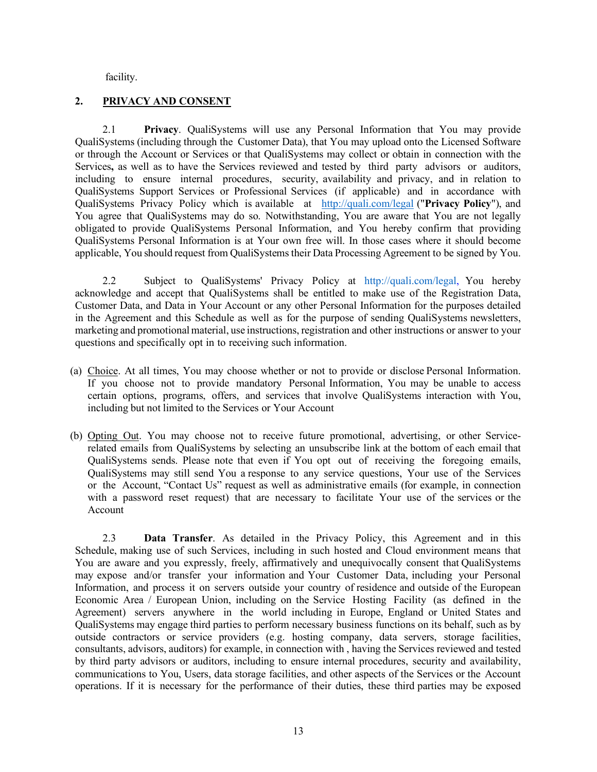facility.

## **2. PRIVACY AND CONSENT**

2.1 **Privacy**. QualiSystems will use any Personal Information that You may provide QualiSystems (including through the Customer Data), that You may upload onto the Licensed Software or through the Account or Services or that QualiSystems may collect or obtain in connection with the Services**,** as well as to have the Services reviewed and tested by third party advisors or auditors, including to ensure internal procedures, security, availability and privacy, and in relation to QualiSystems Support Services or Professional Services (if applicable) and in accordance with QualiSystems Privacy Policy which is available at http://quali.com/legal ("**Privacy Policy**"), and You agree that QualiSystems may do so. Notwithstanding, You are aware that You are not legally obligated to provide QualiSystems Personal Information, and You hereby confirm that providing QualiSystems Personal Information is at Your own free will. In those cases where it should become applicable, You should request from QualiSystems their Data Processing Agreement to be signed by You.

2.2 Subject to QualiSystems' Privacy Policy at http://quali.com/legal, You hereby acknowledge and accept that QualiSystems shall be entitled to make use of the Registration Data, Customer Data, and Data in Your Account or any other Personal Information for the purposes detailed in the Agreement and this Schedule as well as for the purpose of sending QualiSystems newsletters, marketing and promotional material, use instructions, registration and other instructions or answer to your questions and specifically opt in to receiving such information.

- (a) Choice. At all times, You may choose whether or not to provide or disclose Personal Information. If you choose not to provide mandatory Personal Information, You may be unable to access certain options, programs, offers, and services that involve QualiSystems interaction with You, including but not limited to the Services or Your Account
- (b) Opting Out. You may choose not to receive future promotional, advertising, or other Servicerelated emails from QualiSystems by selecting an unsubscribe link at the bottom of each email that QualiSystems sends. Please note that even if You opt out of receiving the foregoing emails, QualiSystems may still send You a response to any service questions, Your use of the Services or the Account, "Contact Us" request as well as administrative emails (for example, in connection with a password reset request) that are necessary to facilitate Your use of the services or the Account

2.3 **Data Transfer**. As detailed in the Privacy Policy, this Agreement and in this Schedule, making use of such Services, including in such hosted and Cloud environment means that You are aware and you expressly, freely, affirmatively and unequivocally consent that QualiSystems may expose and/or transfer your information and Your Customer Data, including your Personal Information, and process it on servers outside your country of residence and outside of the European Economic Area / European Union, including on the Service Hosting Facility (as defined in the Agreement) servers anywhere in the world including in Europe, England or United States and QualiSystems may engage third parties to perform necessary business functions on its behalf, such as by outside contractors or service providers (e.g. hosting company, data servers, storage facilities, consultants, advisors, auditors) for example, in connection with , having the Services reviewed and tested by third party advisors or auditors, including to ensure internal procedures, security and availability, communications to You, Users, data storage facilities, and other aspects of the Services or the Account operations. If it is necessary for the performance of their duties, these third parties may be exposed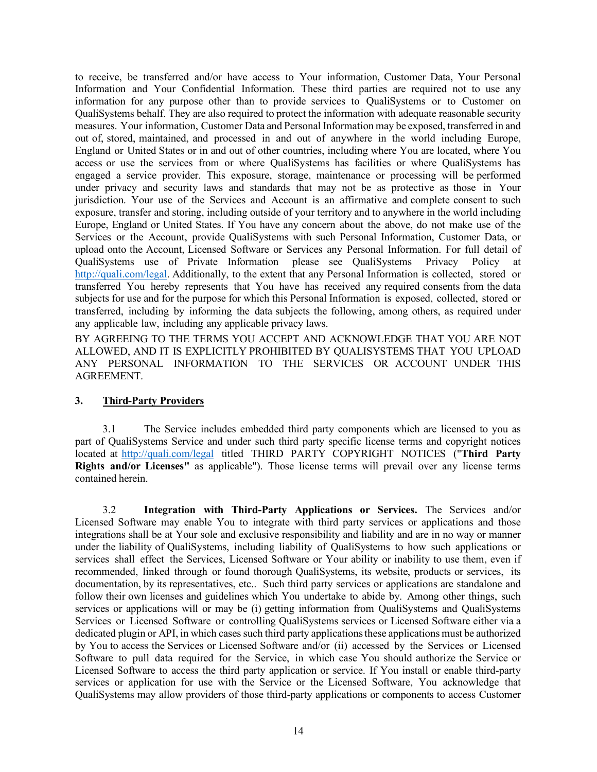to receive, be transferred and/or have access to Your information, Customer Data, Your Personal Information and Your Confidential Information. These third parties are required not to use any information for any purpose other than to provide services to QualiSystems or to Customer on QualiSystems behalf. They are also required to protect the information with adequate reasonable security measures. Your information, Customer Data and Personal Information may be exposed, transferred in and out of, stored, maintained, and processed in and out of anywhere in the world including Europe, England or United States or in and out of other countries, including where You are located, where You access or use the services from or where QualiSystems has facilities or where QualiSystems has engaged a service provider. This exposure, storage, maintenance or processing will be performed under privacy and security laws and standards that may not be as protective as those in Your jurisdiction. Your use of the Services and Account is an affirmative and complete consent to such exposure, transfer and storing, including outside of your territory and to anywhere in the world including Europe, England or United States. If You have any concern about the above, do not make use of the Services or the Account, provide QualiSystems with such Personal Information, Customer Data, or upload onto the Account, Licensed Software or Services any Personal Information. For full detail of QualiSystems use of Private Information please see QualiSystems Privacy Policy at http://quali.com/legal. Additionally, to the extent that any Personal Information is collected, stored or transferred You hereby represents that You have has received any required consents from the data subjects for use and for the purpose for which this Personal Information is exposed, collected, stored or transferred, including by informing the data subjects the following, among others, as required under any applicable law, including any applicable privacy laws.

BY AGREEING TO THE TERMS YOU ACCEPT AND ACKNOWLEDGE THAT YOU ARE NOT ALLOWED, AND IT IS EXPLICITLY PROHIBITED BY QUALISYSTEMS THAT YOU UPLOAD ANY PERSONAL INFORMATION TO THE SERVICES OR ACCOUNT UNDER THIS AGREEMENT.

## **3. Third-Party Providers**

3.1 The Service includes embedded third party components which are licensed to you as part of QualiSystems Service and under such third party specific license terms and copyright notices located at http://quali.com/legal titled THIRD PARTY COPYRIGHT NOTICES ("**Third Party Rights and/or Licenses"** as applicable"). Those license terms will prevail over any license terms contained herein.

3.2 **Integration with Third-Party Applications or Services.** The Services and/or Licensed Software may enable You to integrate with third party services or applications and those integrations shall be at Your sole and exclusive responsibility and liability and are in no way or manner under the liability of QualiSystems, including liability of QualiSystems to how such applications or services shall effect the Services, Licensed Software or Your ability or inability to use them, even if recommended, linked through or found thorough QualiSystems, its website, products or services, its documentation, by its representatives, etc.. Such third party services or applications are standalone and follow their own licenses and guidelines which You undertake to abide by. Among other things, such services or applications will or may be (i) getting information from QualiSystems and QualiSystems Services or Licensed Software or controlling QualiSystems services or Licensed Software either via a dedicated plugin or API, in which cases such third party applications these applications must be authorized by You to access the Services or Licensed Software and/or (ii) accessed by the Services or Licensed Software to pull data required for the Service, in which case You should authorize the Service or Licensed Software to access the third party application or service. If You install or enable third-party services or application for use with the Service or the Licensed Software, You acknowledge that QualiSystems may allow providers of those third-party applications or components to access Customer